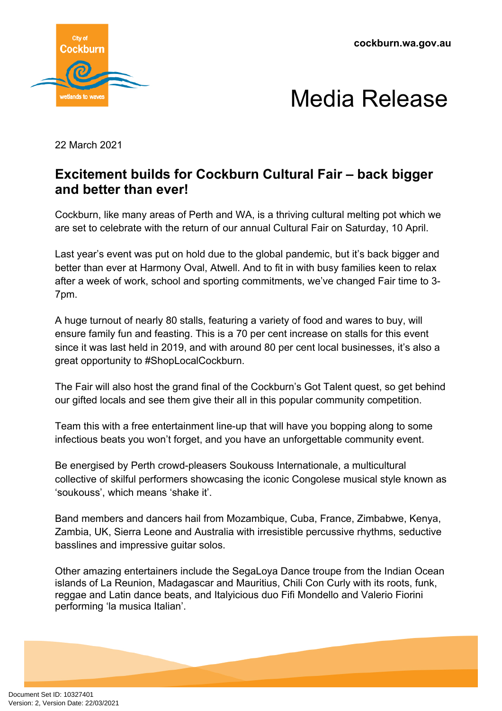



22 March 2021

## **Excitement builds for Cockburn Cultural Fair – back bigger and better than ever!**

Cockburn, like many areas of Perth and WA, is a thriving cultural melting pot which we are set to celebrate with the return of our annual Cultural Fair on Saturday, 10 April.

Last year's event was put on hold due to the global pandemic, but it's back bigger and better than ever at Harmony Oval, Atwell. And to fit in with busy families keen to relax after a week of work, school and sporting commitments, we've changed Fair time to 3- 7pm.

A huge turnout of nearly 80 stalls, featuring a variety of food and wares to buy, will ensure family fun and feasting. This is a 70 per cent increase on stalls for this event since it was last held in 2019, and with around 80 per cent local businesses, it's also a great opportunity to #ShopLocalCockburn.

The Fair will also host the grand final of the Cockburn's Got Talent quest, so get behind our gifted locals and see them give their all in this popular community competition.

Team this with a free entertainment line-up that will have you bopping along to some infectious beats you won't forget, and you have an unforgettable community event.

Be energised by Perth crowd-pleasers Soukouss Internationale, a multicultural collective of skilful performers showcasing the iconic Congolese musical style known as 'soukouss', which means 'shake it'.

Band members and dancers hail from Mozambique, Cuba, France, Zimbabwe, Kenya, Zambia, UK, Sierra Leone and Australia with irresistible percussive rhythms, seductive basslines and impressive guitar solos.

Other amazing entertainers include the SegaLoya Dance troupe from the Indian Ocean islands of La Reunion, Madagascar and Mauritius, Chili Con Curly with its roots, funk, reggae and Latin dance beats, and Italyicious duo Fifi Mondello and Valerio Fiorini performing 'la musica Italian'.